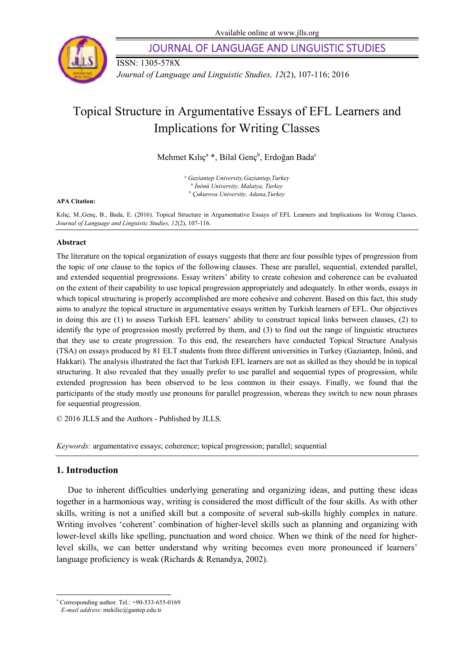

ISSN: 1305-578X

JOURNAL OF LANGUAGE AND LINGUISTIC STUDIES

*Journal of Language and Linguistic Studies, 12*(2), 107-116; 2016

# Topical Structure in Argumentative Essays of EFL Learners and Implications for Writing Classes

Mehmet Kılıç<sup>a</sup> \*, Bilal Genç<sup>b</sup>, Erdoğan Bada<sup>c</sup>

*a Gaziantep University,Gaziantep,Turkey <sup>b</sup> <sup>İ</sup>nönü University, Malatya, Turkey b Çukurova University, Adana,Turkey* 

#### **APA Citation:**

Kılıç, M.,Genç, B., Bada, E. (2016). Topical Structure in Argumentative Essays of EFL Learners and Implications for Writing Classes. *Journal of Language and Linguistic Studies, 12*(2), 107-116.

#### **Abstract**

The literature on the topical organization of essays suggests that there are four possible types of progression from the topic of one clause to the topics of the following clauses. These are parallel, sequential, extended parallel, and extended sequential progressions. Essay writers' ability to create cohesion and coherence can be evaluated on the extent of their capability to use topical progression appropriately and adequately. In other words, essays in which topical structuring is properly accomplished are more cohesive and coherent. Based on this fact, this study aims to analyze the topical structure in argumentative essays written by Turkish learners of EFL. Our objectives in doing this are (1) to assess Turkish EFL learners' ability to construct topical links between clauses, (2) to identify the type of progression mostly preferred by them, and (3) to find out the range of linguistic structures that they use to create progression. To this end, the researchers have conducted Topical Structure Analysis (TSA) on essays produced by 81 ELT students from three different universities in Turkey (Gaziantep, İnönü, and Hakkari). The analysis illustrated the fact that Turkish EFL learners are not as skilled as they should be in topical structuring. It also revealed that they usually prefer to use parallel and sequential types of progression, while extended progression has been observed to be less common in their essays. Finally, we found that the participants of the study mostly use pronouns for parallel progression, whereas they switch to new noun phrases for sequential progression.

© 2016 JLLS and the Authors - Published by JLLS.

*Keywords:* argumentative essays; coherence; topical progression; parallel; sequential

# **1. Introduction**

1

Due to inherent difficulties underlying generating and organizing ideas, and putting these ideas together in a harmonious way, writing is considered the most difficult of the four skills. As with other skills, writing is not a unified skill but a composite of several sub-skills highly complex in nature. Writing involves 'coherent' combination of higher-level skills such as planning and organizing with lower-level skills like spelling, punctuation and word choice. When we think of the need for higherlevel skills, we can better understand why writing becomes even more pronounced if learners' language proficiency is weak (Richards & Renandya, 2002).

<sup>\*</sup> Corresponding author. Tel.: +90-533-655-0169

*E-mail address*: mekilic@gantep.edu.tr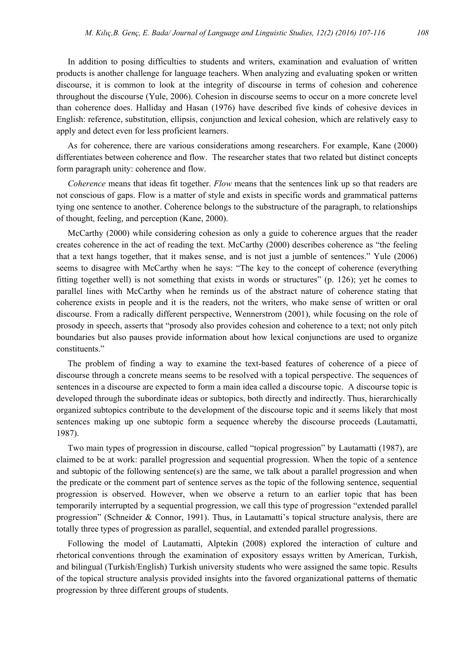In addition to posing difficulties to students and writers, examination and evaluation of written products is another challenge for language teachers. When analyzing and evaluating spoken or written discourse, it is common to look at the integrity of discourse in terms of cohesion and coherence throughout the discourse (Yule, 2006). Cohesion in discourse seems to occur on a more concrete level than coherence does. Halliday and Hasan (1976) have described five kinds of cohesive devices in English: reference, substitution, ellipsis, conjunction and lexical cohesion, which are relatively easy to apply and detect even for less proficient learners.

As for coherence, there are various considerations among researchers. For example, Kane (2000) differentiates between coherence and flow. The researcher states that two related but distinct concepts form paragraph unity: coherence and flow.

*Coherence* means that ideas fit together. *Flow* means that the sentences link up so that readers are not conscious of gaps. Flow is a matter of style and exists in specific words and grammatical patterns tying one sentence to another. Coherence belongs to the substructure of the paragraph, to relationships of thought, feeling, and perception (Kane, 2000).

McCarthy (2000) while considering cohesion as only a guide to coherence argues that the reader creates coherence in the act of reading the text. McCarthy (2000) describes coherence as "the feeling that a text hangs together, that it makes sense, and is not just a jumble of sentences." Yule (2006) seems to disagree with McCarthy when he says: "The key to the concept of coherence (everything fitting together well) is not something that exists in words or structures" (p. 126); yet he comes to parallel lines with McCarthy when he reminds us of the abstract nature of coherence stating that coherence exists in people and it is the readers, not the writers, who make sense of written or oral discourse. From a radically different perspective, Wennerstrom (2001), while focusing on the role of prosody in speech, asserts that "prosody also provides cohesion and coherence to a text; not only pitch boundaries but also pauses provide information about how lexical conjunctions are used to organize constituents."

The problem of finding a way to examine the text-based features of coherence of a piece of discourse through a concrete means seems to be resolved with a topical perspective. The sequences of sentences in a discourse are expected to form a main idea called a discourse topic. A discourse topic is developed through the subordinate ideas or subtopics, both directly and indirectly. Thus, hierarchically organized subtopics contribute to the development of the discourse topic and it seems likely that most sentences making up one subtopic form a sequence whereby the discourse proceeds (Lautamatti, 1987).

Two main types of progression in discourse, called "topical progression" by Lautamatti (1987), are claimed to be at work: parallel progression and sequential progression. When the topic of a sentence and subtopic of the following sentence(s) are the same, we talk about a parallel progression and when the predicate or the comment part of sentence serves as the topic of the following sentence, sequential progression is observed. However, when we observe a return to an earlier topic that has been temporarily interrupted by a sequential progression, we call this type of progression "extended parallel progression" (Schneider & Connor, 1991). Thus, in Lautamatti's topical structure analysis, there are totally three types of progression as parallel, sequential, and extended parallel progressions.

Following the model of Lautamatti, Alptekin (2008) explored the interaction of culture and rhetorical conventions through the examination of expository essays written by American, Turkish, and bilingual (Turkish/English) Turkish university students who were assigned the same topic. Results of the topical structure analysis provided insights into the favored organizational patterns of thematic progression by three different groups of students.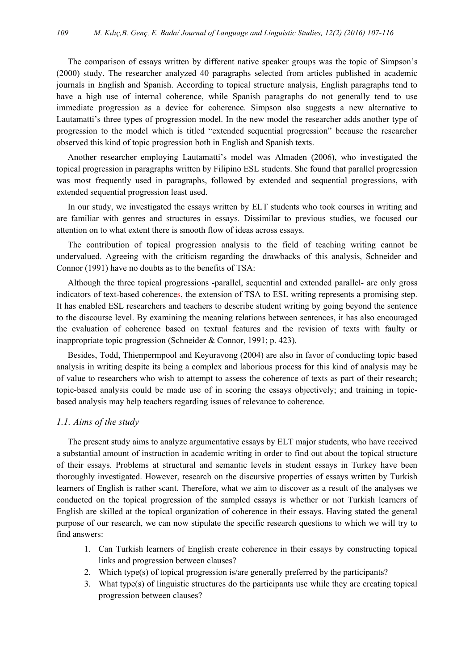The comparison of essays written by different native speaker groups was the topic of Simpson's (2000) study. The researcher analyzed 40 paragraphs selected from articles published in academic journals in English and Spanish. According to topical structure analysis, English paragraphs tend to have a high use of internal coherence, while Spanish paragraphs do not generally tend to use immediate progression as a device for coherence. Simpson also suggests a new alternative to Lautamatti's three types of progression model. In the new model the researcher adds another type of progression to the model which is titled "extended sequential progression" because the researcher observed this kind of topic progression both in English and Spanish texts.

Another researcher employing Lautamatti's model was Almaden (2006), who investigated the topical progression in paragraphs written by Filipino ESL students. She found that parallel progression was most frequently used in paragraphs, followed by extended and sequential progressions, with extended sequential progression least used.

In our study, we investigated the essays written by ELT students who took courses in writing and are familiar with genres and structures in essays. Dissimilar to previous studies, we focused our attention on to what extent there is smooth flow of ideas across essays.

The contribution of topical progression analysis to the field of teaching writing cannot be undervalued. Agreeing with the criticism regarding the drawbacks of this analysis, Schneider and Connor (1991) have no doubts as to the benefits of TSA:

Although the three topical progressions -parallel, sequential and extended parallel- are only gross indicators of text-based coherences, the extension of TSA to ESL writing represents a promising step. It has enabled ESL researchers and teachers to describe student writing by going beyond the sentence to the discourse level. By examining the meaning relations between sentences, it has also encouraged the evaluation of coherence based on textual features and the revision of texts with faulty or inappropriate topic progression (Schneider & Connor, 1991; p. 423).

Besides, Todd, Thienpermpool and Keyuravong (2004) are also in favor of conducting topic based analysis in writing despite its being a complex and laborious process for this kind of analysis may be of value to researchers who wish to attempt to assess the coherence of texts as part of their research; topic-based analysis could be made use of in scoring the essays objectively; and training in topicbased analysis may help teachers regarding issues of relevance to coherence.

# *1.1. Aims of the study*

The present study aims to analyze argumentative essays by ELT major students, who have received a substantial amount of instruction in academic writing in order to find out about the topical structure of their essays. Problems at structural and semantic levels in student essays in Turkey have been thoroughly investigated. However, research on the discursive properties of essays written by Turkish learners of English is rather scant. Therefore, what we aim to discover as a result of the analyses we conducted on the topical progression of the sampled essays is whether or not Turkish learners of English are skilled at the topical organization of coherence in their essays. Having stated the general purpose of our research, we can now stipulate the specific research questions to which we will try to find answers:

- 1. Can Turkish learners of English create coherence in their essays by constructing topical links and progression between clauses?
- 2. Which type(s) of topical progression is/are generally preferred by the participants?
- 3. What type(s) of linguistic structures do the participants use while they are creating topical progression between clauses?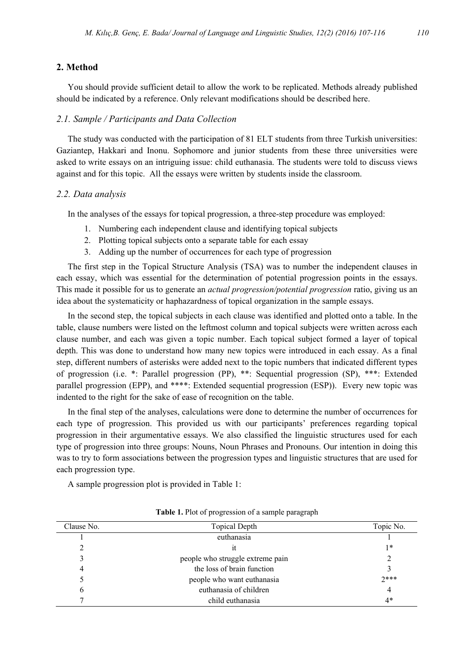# **2. Method**

You should provide sufficient detail to allow the work to be replicated. Methods already published should be indicated by a reference. Only relevant modifications should be described here.

# *2.1. Sample / Participants and Data Collection*

The study was conducted with the participation of 81 ELT students from three Turkish universities: Gaziantep, Hakkari and Inonu. Sophomore and junior students from these three universities were asked to write essays on an intriguing issue: child euthanasia. The students were told to discuss views against and for this topic. All the essays were written by students inside the classroom.

#### *2.2. Data analysis*

In the analyses of the essays for topical progression, a three-step procedure was employed:

- 1. Numbering each independent clause and identifying topical subjects
- 2. Plotting topical subjects onto a separate table for each essay
- 3. Adding up the number of occurrences for each type of progression

The first step in the Topical Structure Analysis (TSA) was to number the independent clauses in each essay, which was essential for the determination of potential progression points in the essays. This made it possible for us to generate an *actual progression/potential progression* ratio, giving us an idea about the systematicity or haphazardness of topical organization in the sample essays.

In the second step, the topical subjects in each clause was identified and plotted onto a table. In the table, clause numbers were listed on the leftmost column and topical subjects were written across each clause number, and each was given a topic number. Each topical subject formed a layer of topical depth. This was done to understand how many new topics were introduced in each essay. As a final step, different numbers of asterisks were added next to the topic numbers that indicated different types of progression (i.e. \*: Parallel progression (PP), \*\*: Sequential progression (SP), \*\*\*: Extended parallel progression (EPP), and \*\*\*\*: Extended sequential progression (ESP)). Every new topic was indented to the right for the sake of ease of recognition on the table.

In the final step of the analyses, calculations were done to determine the number of occurrences for each type of progression. This provided us with our participants' preferences regarding topical progression in their argumentative essays. We also classified the linguistic structures used for each type of progression into three groups: Nouns, Noun Phrases and Pronouns. Our intention in doing this was to try to form associations between the progression types and linguistic structures that are used for each progression type.

A sample progression plot is provided in Table 1:

| Clause No. | <b>Topical Depth</b>             | Topic No. |
|------------|----------------------------------|-----------|
|            | euthanasia                       |           |
|            | ıt                               | $1*$      |
|            | people who struggle extreme pain |           |
|            | the loss of brain function       |           |
|            | people who want euthanasia       | $2***$    |
|            | euthanasia of children           | 4         |
|            | child euthanasia                 | 4*        |

#### **Table 1.** Plot of progression of a sample paragraph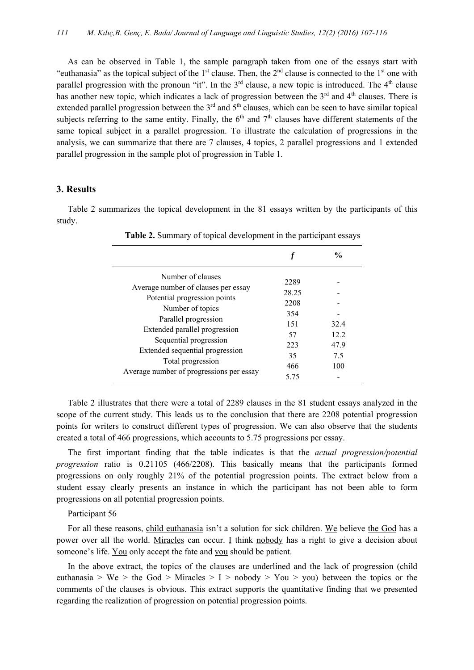As can be observed in Table 1, the sample paragraph taken from one of the essays start with "euthanasia" as the topical subject of the 1<sup>st</sup> clause. Then, the  $2<sup>nd</sup>$  clause is connected to the 1<sup>st</sup> one with parallel progression with the pronoun "it". In the  $3<sup>rd</sup>$  clause, a new topic is introduced. The  $4<sup>th</sup>$  clause has another new topic, which indicates a lack of progression between the  $3<sup>rd</sup>$  and  $4<sup>th</sup>$  clauses. There is extended parallel progression between the  $3<sup>rd</sup>$  and  $5<sup>th</sup>$  clauses, which can be seen to have similar topical subjects referring to the same entity. Finally, the  $6<sup>th</sup>$  and  $7<sup>th</sup>$  clauses have different statements of the same topical subject in a parallel progression. To illustrate the calculation of progressions in the analysis, we can summarize that there are 7 clauses, 4 topics, 2 parallel progressions and 1 extended parallel progression in the sample plot of progression in Table 1.

# **3. Results**

Table 2 summarizes the topical development in the 81 essays written by the participants of this study.

|                                                                                                                                                                                                                                                                                                     |                                                               | $\frac{6}{10}$                     |
|-----------------------------------------------------------------------------------------------------------------------------------------------------------------------------------------------------------------------------------------------------------------------------------------------------|---------------------------------------------------------------|------------------------------------|
| Number of clauses<br>Average number of clauses per essay<br>Potential progression points<br>Number of topics<br>Parallel progression<br>Extended parallel progression<br>Sequential progression<br>Extended sequential progression<br>Total progression<br>Average number of progressions per essay | 2289<br>28.25<br>2208<br>354<br>151<br>57<br>223<br>35<br>466 | 32.4<br>12.2<br>47.9<br>7.5<br>100 |
|                                                                                                                                                                                                                                                                                                     | 5 75                                                          |                                    |

**Table 2.** Summary of topical development in the participant essays

Table 2 illustrates that there were a total of 2289 clauses in the 81 student essays analyzed in the scope of the current study. This leads us to the conclusion that there are 2208 potential progression points for writers to construct different types of progression. We can also observe that the students created a total of 466 progressions, which accounts to 5.75 progressions per essay.

The first important finding that the table indicates is that the *actual progression/potential progression* ratio is 0.21105 (466/2208). This basically means that the participants formed progressions on only roughly 21% of the potential progression points. The extract below from a student essay clearly presents an instance in which the participant has not been able to form progressions on all potential progression points.

Participant 56

For all these reasons, child euthanasia isn't a solution for sick children. We believe the God has a power over all the world. Miracles can occur. I think nobody has a right to give a decision about someone's life. You only accept the fate and you should be patient.

In the above extract, the topics of the clauses are underlined and the lack of progression (child euthanasia > We > the God > Miracles > I > nobody > You > you) between the topics or the comments of the clauses is obvious. This extract supports the quantitative finding that we presented regarding the realization of progression on potential progression points.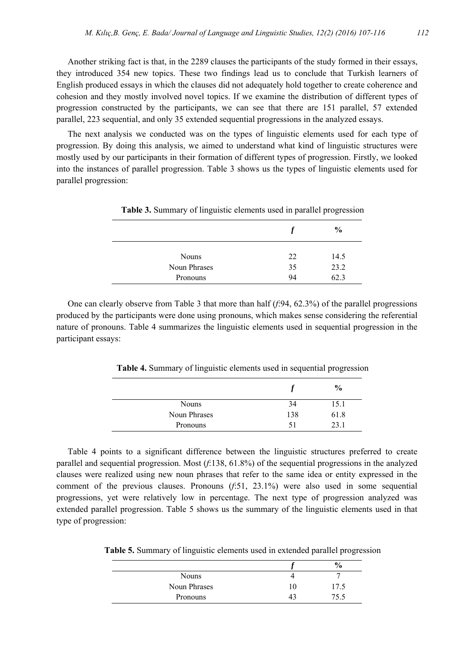Another striking fact is that, in the 2289 clauses the participants of the study formed in their essays, they introduced 354 new topics. These two findings lead us to conclude that Turkish learners of English produced essays in which the clauses did not adequately hold together to create coherence and cohesion and they mostly involved novel topics. If we examine the distribution of different types of progression constructed by the participants, we can see that there are 151 parallel, 57 extended parallel, 223 sequential, and only 35 extended sequential progressions in the analyzed essays.

The next analysis we conducted was on the types of linguistic elements used for each type of progression. By doing this analysis, we aimed to understand what kind of linguistic structures were mostly used by our participants in their formation of different types of progression. Firstly, we looked into the instances of parallel progression. Table 3 shows us the types of linguistic elements used for parallel progression:

|              |    | $\frac{0}{0}$ |
|--------------|----|---------------|
| <b>Nouns</b> | 22 | 14.5          |
| Noun Phrases | 35 | 23.2          |
| Pronouns     | 94 | 62.3          |

**Table 3.** Summary of linguistic elements used in parallel progression

One can clearly observe from Table 3 that more than half (*f*:94, 62.3%) of the parallel progressions produced by the participants were done using pronouns, which makes sense considering the referential nature of pronouns. Table 4 summarizes the linguistic elements used in sequential progression in the participant essays:

**Table 4.** Summary of linguistic elements used in sequential progression

|              |     | $\%$ |
|--------------|-----|------|
| <b>Nouns</b> | 34  | 15.1 |
| Noun Phrases | 138 | 61.8 |
| Pronouns     | 51  | 23.1 |

Table 4 points to a significant difference between the linguistic structures preferred to create parallel and sequential progression. Most (*f*:138, 61.8%) of the sequential progressions in the analyzed clauses were realized using new noun phrases that refer to the same idea or entity expressed in the comment of the previous clauses. Pronouns (*f*:51, 23.1%) were also used in some sequential progressions, yet were relatively low in percentage. The next type of progression analyzed was extended parallel progression. Table 5 shows us the summary of the linguistic elements used in that type of progression:

**Table 5.** Summary of linguistic elements used in extended parallel progression

|              |    | $\frac{0}{0}$ |
|--------------|----|---------------|
| <b>Nouns</b> |    |               |
| Noun Phrases | 10 | 17.5          |
| Pronouns     | 43 | 75.5          |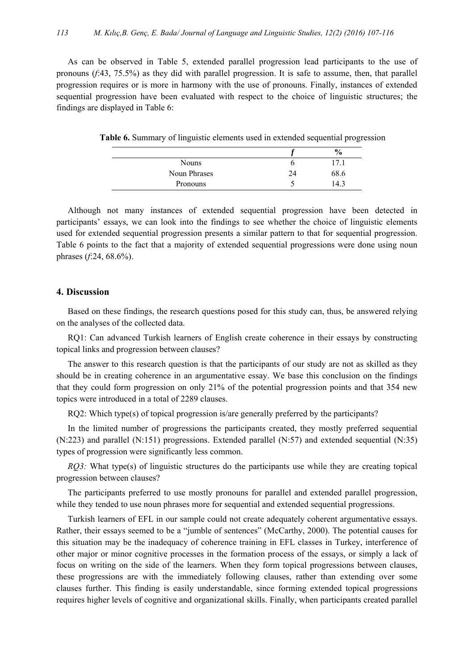As can be observed in Table 5, extended parallel progression lead participants to the use of pronouns (*f*:43, 75.5%) as they did with parallel progression. It is safe to assume, then, that parallel progression requires or is more in harmony with the use of pronouns. Finally, instances of extended sequential progression have been evaluated with respect to the choice of linguistic structures; the findings are displayed in Table 6:

|              | $\frac{1}{2}$ |
|--------------|---------------|
| <b>Nouns</b> |               |
| Noun Phrases | 68.6          |
| Pronouns     | 143           |

**Table 6.** Summary of linguistic elements used in extended sequential progression

Although not many instances of extended sequential progression have been detected in participants' essays, we can look into the findings to see whether the choice of linguistic elements used for extended sequential progression presents a similar pattern to that for sequential progression. Table 6 points to the fact that a majority of extended sequential progressions were done using noun phrases (*f*:24, 68.6%).

# **4. Discussion**

Based on these findings, the research questions posed for this study can, thus, be answered relying on the analyses of the collected data.

RQ1: Can advanced Turkish learners of English create coherence in their essays by constructing topical links and progression between clauses?

The answer to this research question is that the participants of our study are not as skilled as they should be in creating coherence in an argumentative essay. We base this conclusion on the findings that they could form progression on only 21% of the potential progression points and that 354 new topics were introduced in a total of 2289 clauses.

RQ2: Which type(s) of topical progression is/are generally preferred by the participants?

In the limited number of progressions the participants created, they mostly preferred sequential (N:223) and parallel (N:151) progressions. Extended parallel (N:57) and extended sequential (N:35) types of progression were significantly less common.

*RO3:* What type(s) of linguistic structures do the participants use while they are creating topical progression between clauses?

The participants preferred to use mostly pronouns for parallel and extended parallel progression, while they tended to use noun phrases more for sequential and extended sequential progressions.

Turkish learners of EFL in our sample could not create adequately coherent argumentative essays. Rather, their essays seemed to be a "jumble of sentences" (McCarthy, 2000). The potential causes for this situation may be the inadequacy of coherence training in EFL classes in Turkey, interference of other major or minor cognitive processes in the formation process of the essays, or simply a lack of focus on writing on the side of the learners. When they form topical progressions between clauses, these progressions are with the immediately following clauses, rather than extending over some clauses further. This finding is easily understandable, since forming extended topical progressions requires higher levels of cognitive and organizational skills. Finally, when participants created parallel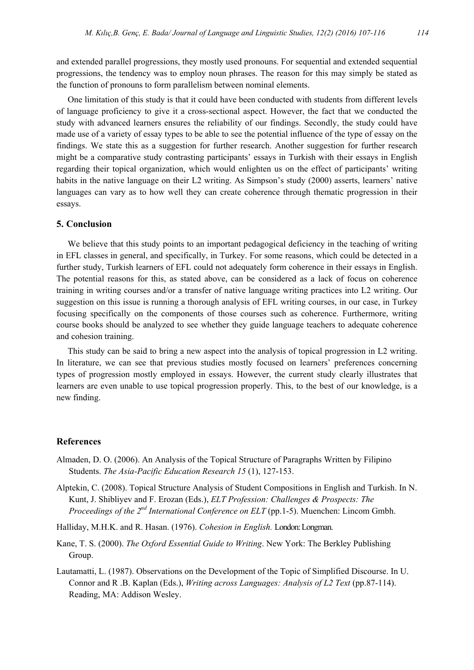and extended parallel progressions, they mostly used pronouns. For sequential and extended sequential progressions, the tendency was to employ noun phrases. The reason for this may simply be stated as the function of pronouns to form parallelism between nominal elements.

One limitation of this study is that it could have been conducted with students from different levels of language proficiency to give it a cross-sectional aspect. However, the fact that we conducted the study with advanced learners ensures the reliability of our findings. Secondly, the study could have made use of a variety of essay types to be able to see the potential influence of the type of essay on the findings. We state this as a suggestion for further research. Another suggestion for further research might be a comparative study contrasting participants' essays in Turkish with their essays in English regarding their topical organization, which would enlighten us on the effect of participants' writing habits in the native language on their L2 writing. As Simpson's study (2000) asserts, learners' native languages can vary as to how well they can create coherence through thematic progression in their essays.

## **5. Conclusion**

We believe that this study points to an important pedagogical deficiency in the teaching of writing in EFL classes in general, and specifically, in Turkey. For some reasons, which could be detected in a further study, Turkish learners of EFL could not adequately form coherence in their essays in English. The potential reasons for this, as stated above, can be considered as a lack of focus on coherence training in writing courses and/or a transfer of native language writing practices into L2 writing. Our suggestion on this issue is running a thorough analysis of EFL writing courses, in our case, in Turkey focusing specifically on the components of those courses such as coherence. Furthermore, writing course books should be analyzed to see whether they guide language teachers to adequate coherence and cohesion training.

This study can be said to bring a new aspect into the analysis of topical progression in L2 writing. In literature, we can see that previous studies mostly focused on learners' preferences concerning types of progression mostly employed in essays. However, the current study clearly illustrates that learners are even unable to use topical progression properly. This, to the best of our knowledge, is a new finding.

#### **References**

- Almaden, D. O. (2006). An Analysis of the Topical Structure of Paragraphs Written by Filipino Students. *The Asia-Pacific Education Research 15* (1), 127-153.
- Alptekin, C. (2008). Topical Structure Analysis of Student Compositions in English and Turkish. In N. Kunt, J. Shibliyev and F. Erozan (Eds.), *ELT Profession: Challenges & Prospects: The Proceedings of the 2<sup>nd</sup> International Conference on ELT* (pp.1-5). Muenchen: Lincom Gmbh.
- Halliday, M.H.K. and R. Hasan. (1976). *Cohesion in English.* London: Longman.
- Kane, T. S. (2000). *The Oxford Essential Guide to Writing*. New York: The Berkley Publishing Group.
- Lautamatti, L. (1987). Observations on the Development of the Topic of Simplified Discourse. In U. Connor and R .B. Kaplan (Eds.), *Writing across Languages: Analysis of L2 Text* (pp.87-114). Reading, MA: Addison Wesley.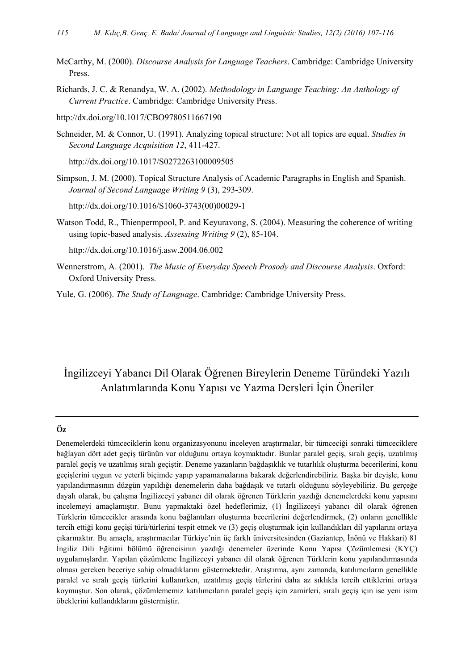- McCarthy, M. (2000). *Discourse Analysis for Language Teachers*. Cambridge: Cambridge University Press.
- Richards, J. C. & Renandya, W. A. (2002). *Methodology in Language Teaching: An Anthology of Current Practice*. Cambridge: Cambridge University Press.

http://dx.doi.org/10.1017/CBO9780511667190

Schneider, M. & Connor, U. (1991). Analyzing topical structure: Not all topics are equal. *Studies in Second Language Acquisition 12*, 411-427.

http://dx.doi.org/10.1017/S0272263100009505

Simpson, J. M. (2000). Topical Structure Analysis of Academic Paragraphs in English and Spanish. *Journal of Second Language Writing 9* (3), 293-309.

http://dx.doi.org/10.1016/S1060-3743(00)00029-1

Watson Todd, R., Thienpermpool, P. and Keyuravong, S. (2004). Measuring the coherence of writing using topic-based analysis. *Assessing Writing 9* (2), 85-104.

http://dx.doi.org/10.1016/j.asw.2004.06.002

- Wennerstrom, A. (2001). *The Music of Everyday Speech Prosody and Discourse Analysis*. Oxford: Oxford University Press.
- Yule, G. (2006). *The Study of Language*. Cambridge: Cambridge University Press.

# İngilizceyi Yabancı Dil Olarak Öğrenen Bireylerin Deneme Türündeki Yazılı Anlatımlarında Konu Yapısı ve Yazma Dersleri İçin Öneriler

#### **Öz**

Denemelerdeki tümceciklerin konu organizasyonunu inceleyen araştırmalar, bir tümceciği sonraki tümceciklere bağlayan dört adet geçiş türünün var olduğunu ortaya koymaktadır. Bunlar paralel geçiş, sıralı geçiş, uzatılmış paralel geçiş ve uzatılmış sıralı geçiştir. Deneme yazanların bağdaşıklık ve tutarlılık oluşturma becerilerini, konu geçişlerini uygun ve yeterli biçimde yapıp yapamamalarına bakarak değerlendirebiliriz. Başka bir deyişle, konu yapılandırmasının düzgün yapıldığı denemelerin daha bağdaşık ve tutarlı olduğunu söyleyebiliriz. Bu gerçeğe dayalı olarak, bu çalışma İngilizceyi yabancı dil olarak öğrenen Türklerin yazdığı denemelerdeki konu yapısını incelemeyi amaçlamıştır. Bunu yapmaktaki özel hedeflerimiz, (1) İngilizceyi yabancı dil olarak öğrenen Türklerin tümcecikler arasında konu bağlantıları oluşturma becerilerini değerlendirmek, (2) onların genellikle tercih ettiği konu geçişi türü/türlerini tespit etmek ve (3) geçiş oluşturmak için kullandıkları dil yapılarını ortaya çıkarmaktır. Bu amaçla, araştırmacılar Türkiye'nin üç farklı üniversitesinden (Gaziantep, İnönü ve Hakkari) 81 İngiliz Dili Eğitimi bölümü öğrencisinin yazdığı denemeler üzerinde Konu Yapısı Çözümlemesi (KYÇ) uygulamışlardır. Yapılan çözümleme İngilizceyi yabancı dil olarak öğrenen Türklerin konu yapılandırmasında olması gereken beceriye sahip olmadıklarını göstermektedir. Araştırma, aynı zamanda, katılımcıların genellikle paralel ve sıralı geçiş türlerini kullanırken, uzatılmış geçiş türlerini daha az sıklıkla tercih ettiklerini ortaya koymuştur. Son olarak, çözümlememiz katılımcıların paralel geçiş için zamirleri, sıralı geçiş için ise yeni isim öbeklerini kullandıklarını göstermiştir.